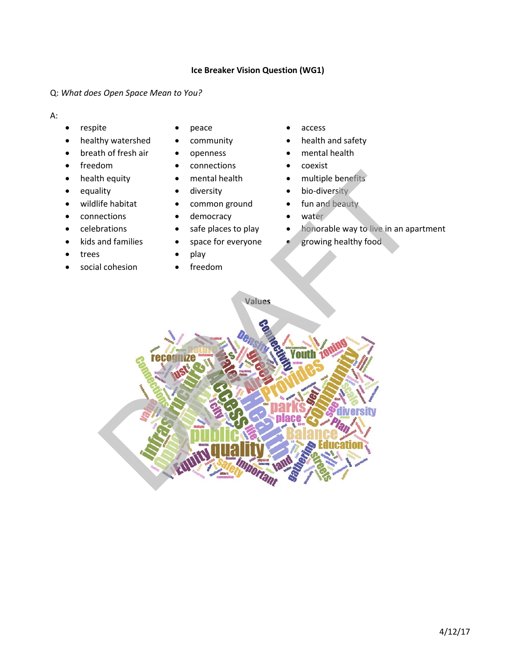# **Ice Breaker Vision Question (WG1)**

# Q: *What does Open Space Mean to You?*

## A:

- respite peace access
- healthy watershed community health and safety
- breath of fresh air openness mental health
- 
- 
- 
- 
- connections democracy water
- 
- 
- trees play
- social cohesion freedom
- 
- 
- 
- freedom connections coexist
	-
	-
- wildlife habitat common ground fun and beauty
	-
	-
	-
	-
	-
- 
- 
- 
- 
- health equity mental health multiple benefits
- equality diversity bio-diversity
	-
	-
- celebrations safe places to play honorable way to live in an apartment
- kids and families space for everyone growing healthy food

**Values**

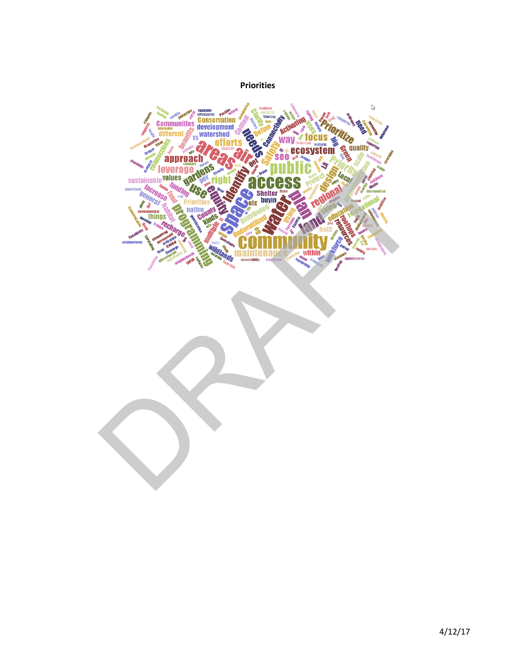# **Priorities** Communities Conservation Ø **V** focus<br> **CCOSYSTEM** Z,  $\mathcal{L}$  and  $\mathcal{L}$ see approach RAFTER SCRIBBERG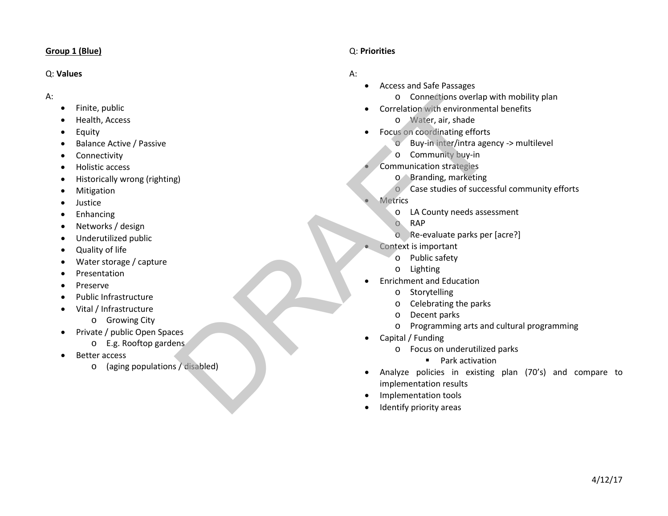#### **Group 1 (Blue)**

#### Q: **Values**

#### A:

- Finite, public
- Health, Access
- Equity
- Balance Active / Passive
- Connectivity
- Holistic access
- Historically wrong (righting)
- Mitigation
- Justice
- Enhancing
- Networks / design
- Underutilized public
- Quality of life
- Water storage / capture
- Presentation
- Preserve
- Public Infrastructure
- Vital / Infrastructure
	- o Growing City
- Private / public Open Spaces
	- o E.g. Rooftop gardens
- Better access
	- o (aging populations / disabled)

# Q: **Priorities**

- Access and Safe Passages
	- o Connections overlap with mobility plan
- Correlation with environmental benefits
	- o Water, air, shade
- Focus on coordinating efforts
	- o Buy-in inter/intra agency -> multilevel
	- o Community buy-in
	- Communication strategies
		- o Branding, marketing
		- o Case studies of successful community efforts
- **Metrics** 
	- o LA County needs assessment
	- o RAP
	- o Re-evaluate parks per [acre?]
- Context is important
	- o Public safety
	- o Lighting
- Enrichment and Education
	- o Storytelling
	- o Celebrating the parks
	- o Decent parks
	- o Programming arts and cultural programming
- Capital / Funding
	- o Focus on underutilized parks
		- **Park activation**
- Analyze policies in existing plan (70's) and compare to implementation results Connection with environmentation the contract of the state of the set of the state of the state of the state of the state of the state of the state of the state of the state of the state of the state of the state of the st
	- Implementation tools
	- Identify priority areas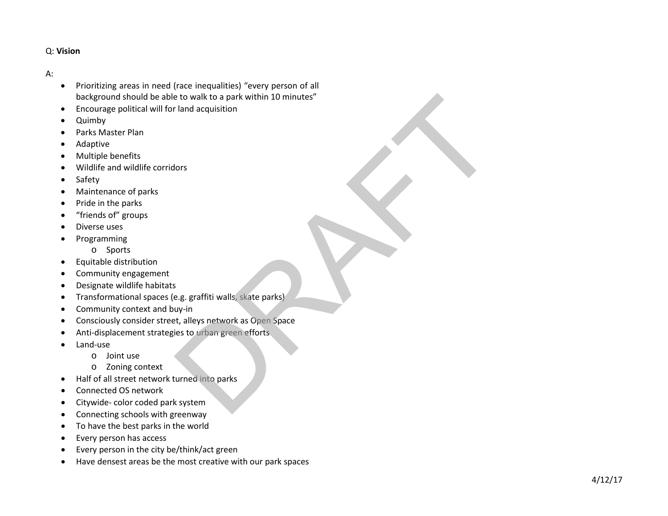- Prioritizing areas in need (race inequalities) "every person of all background should be able to walk to a park within 10 minutes" e to walk to a park within 10 minutes"<br>I land acquisition<br>lors<br>e.g. graffiti walls, skate parks)<br>w.y.in<br>w.y.in<br>t, t, alleys network as Open Space<br>ies to urban green efforts<br>system
- Encourage political will for land acquisition
- Quimby
- Parks Master Plan
- Adaptive
- Multiple benefits
- Wildlife and wildlife corridors
- Safety
- Maintenance of parks
- Pride in the parks
- "friends of" groups
- Diverse uses
- Programming
	- o Sports
- Equitable distribution
- Community engagement
- Designate wildlife habitats
- Transformational spaces (e.g. graffiti walls, skate parks)
- Community context and buy-in
- Consciously consider street, alleys network as Open Space
- Anti-displacement strategies to urban green efforts
- Land-use
	- o Joint use
	- o Zoning context
- Half of all street network turned into parks
- Connected OS network
- Citywide- color coded park system
- Connecting schools with greenway
- To have the best parks in the world
- Every person has access
- Every person in the city be/think/act green
- Have densest areas be the most creative with our park spaces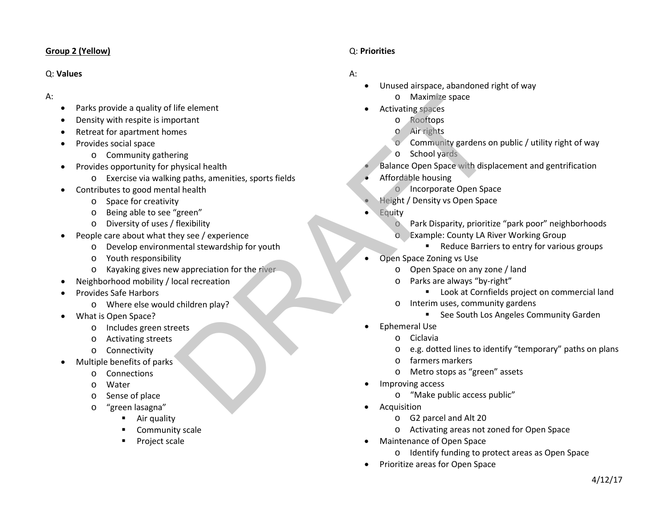## **Group 2 (Yellow)**

#### Q: **Values**

- A:
- Parks provide a quality of life element
- Density with respite is important
- Retreat for apartment homes
- Provides social space
	- o Community gathering
- Provides opportunity for physical health
	- o Exercise via walking paths, amenities, sports fields
- Contributes to good mental health
	- o Space for creativity
	- o Being able to see "green"
	- o Diversity of uses / flexibility
- People care about what they see / experience
	- o Develop environmental stewardship for youth
	- o Youth responsibility
	- o Kayaking gives new appreciation for the river
- Neighborhood mobility / local recreation
- Provides Safe Harbors
	- o Where else would children play?
- What is Open Space?
	- o Includes green streets
	- o Activating streets
	- o Connectivity
- Multiple benefits of parks
	- o Connections
	- o Water
	- o Sense of place
	- o "green lasagna"
		- **Air quality**
		- Community scale
		- Project scale

# Q: **Priorities**

- Unused airspace, abandoned right of way
	- o Maximize space
- Activating spaces
	- o Rooftops
	- o Air rights
	- Community gardens on public / utility right of way
	- o School yards
- Balance Open Space with displacement and gentrification Finance Internation of the river of the semantic space<br>
and the semantic control of the space<br>
of Air rights<br>
of Control of School yards<br>
of School yards<br>
al health<br>
and health<br>
and health<br>
space of the river<br>
of the river
	- Affordable housing
		- o Incorporate Open Space
	- Height / Density vs Open Space
	- Equity
		- Park Disparity, prioritize "park poor" neighborhoods
		- o Example: County LA River Working Group
			- Reduce Barriers to entry for various groups
	- Open Space Zoning vs Use
		- o Open Space on any zone / land
		- Parks are always "by-right"
			- **Look at Cornfields project on commercial land**
		- o Interim uses, community gardens
			- See South Los Angeles Community Garden
	- Ephemeral Use
		- o Ciclavia
		- o e.g. dotted lines to identify "temporary" paths on plans
		- o farmers markers
		- o Metro stops as "green" assets
	- Improving access
		- o "Make public access public"
	- **Acquisition** 
		- o G2 parcel and Alt 20
		- o Activating areas not zoned for Open Space
	- Maintenance of Open Space
		- o Identify funding to protect areas as Open Space
	- Prioritize areas for Open Space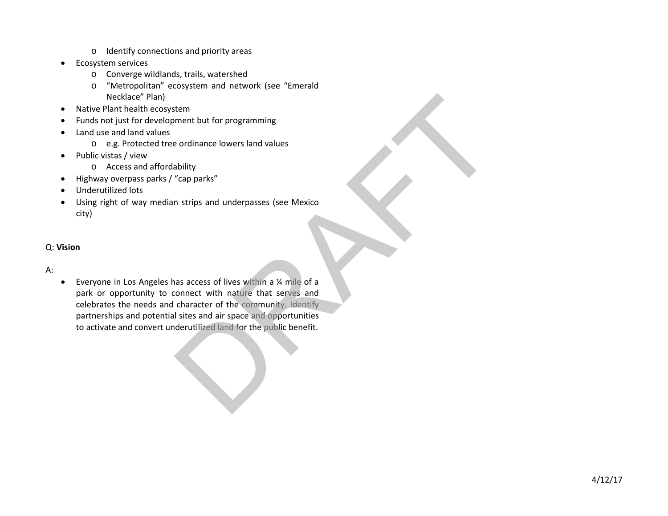- o Identify connections and priority areas
- Ecosystem services
	- o Converge wildlands, trails, watershed
	- o "Metropolitan" ecosystem and network (see "Emerald Necklace" Plan)
- Native Plant health ecosystem
- Funds not just for development but for programming
- Land use and land values
	- o e.g. Protected tree ordinance lowers land values
- Public vistas / view
	- o Access and affordability
- Highway overpass parks / "cap parks"
- Underutilized lots
- Using right of way median strips and underpasses (see Mexico city)

# A:

• Everyone in Los Angeles has access of lives within a ¼ mile of a park or opportunity to connect with nature that serves and celebrates the needs and character of the community. Identify partnerships and potential sites and air space and opportunities to activate and convert underutilized land for the public benefit. tem<br>ment but for programming<br>e ordinance lowers land values<br>bability<br>"cap parks"<br>n strips and underpasses (see Mexico<br>as access of lives within a  $\chi$  mile of a<br>connect with nature that serves and<br>character of the communit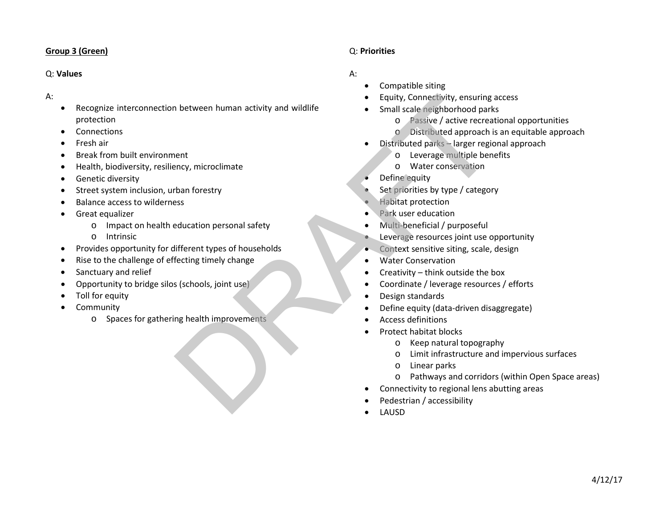## **Group 3 (Green)**

#### Q: **Values**

#### A:

- Recognize interconnection between human activity and wildlife protection Figuity (connectivity, ensuring is a considered in the conservation of particular terms of the simulation of particular terms of the property of the property of the property of the property of the property of the set of th
- **Connections**
- Fresh air
- Break from built environment
- Health, biodiversity, resiliency, microclimate
- Genetic diversity
- Street system inclusion, urban forestry
- Balance access to wilderness
- Great equalizer
	- o Impact on health education personal safety
	- o Intrinsic
- Provides opportunity for different types of households
- Rise to the challenge of effecting timely change
- Sanctuary and relief
- Opportunity to bridge silos (schools, joint use)
- Toll for equity
- **Community** 
	- o Spaces for gathering health improvements

## Q: **Priorities**

- Compatible siting
- Equity, Connectivity, ensuring access
- Small scale neighborhood parks
	- o Passive / active recreational opportunities
	- o Distributed approach is an equitable approach
- Distributed parks larger regional approach
	- o Leverage multiple benefits
	- o Water conservation
- Define equity
- Set priorities by type / category
- Habitat protection
- Park user education
- Multi-beneficial / purposeful
- Leverage resources joint use opportunity
- Context sensitive siting, scale, design
- Water Conservation
- Creativity think outside the box
- Coordinate / leverage resources / efforts
- Design standards
- Define equity (data-driven disaggregate)
- Access definitions
- Protect habitat blocks
	- o Keep natural topography
	- o Limit infrastructure and impervious surfaces
	- o Linear parks
	- o Pathways and corridors (within Open Space areas)
- Connectivity to regional lens abutting areas
- Pedestrian / accessibility
- LAUSD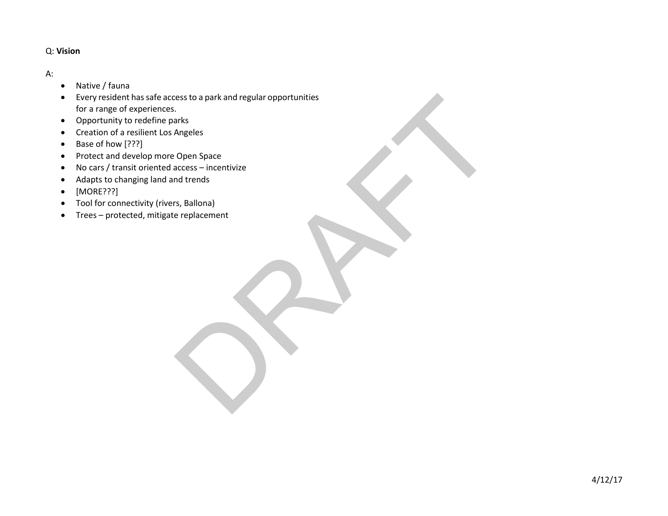- Native / fauna
- Every resident has safe access to a park and regular opportunities for a range of experiences. rest to a park and regular opportunities<br>
Angeles<br>
Angeles<br>
access – incentivize<br>
md trends<br>
replacement<br>
e replacement<br>
CR-R and CR and CR and CR and CR and CR and CR and CR and CR and CR and CR and CR and CR and CR and C
- Opportunity to redefine parks
- Creation of a resilient Los Angeles
- Base of how [???]
- Protect and develop more Open Space
- No cars / transit oriented access incentivize
- Adapts to changing land and trends
- [MORE???]
- Tool for connectivity (rivers, Ballona)
- Trees protected, mitigate replacement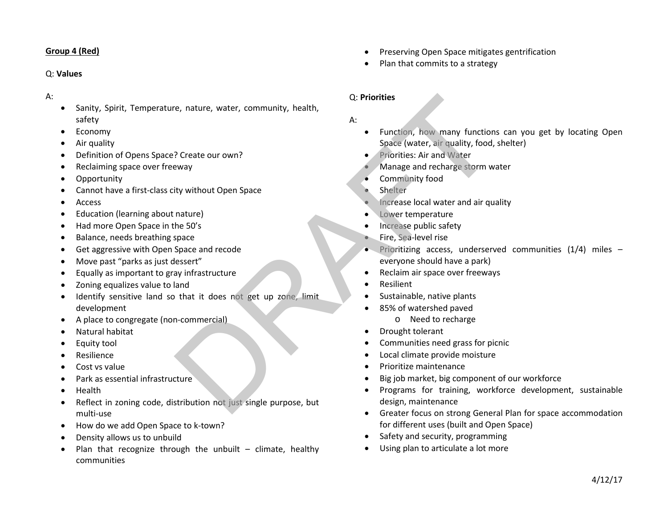## **Group 4 (Red)**

#### Q: **Values**

#### A:

- Sanity, Spirit, Temperature, nature, water, community, health, safety
- Economy
- Air quality
- Definition of Opens Space? Create our own?
- Reclaiming space over freeway
- **Opportunity**
- Cannot have a first-class city without Open Space
- Access
- Education (learning about nature)
- Had more Open Space in the 50's
- Balance, needs breathing space
- Get aggressive with Open Space and recode
- Move past "parks as just dessert"
- Equally as important to gray infrastructure
- Zoning equalizes value to land
- Identify sensitive land so that it does not get up zone, limit development e, nature, water, community, health,<br>
<br>
8. Punction, how many function<br>
Space (water, air quality, food,<br>
<br>
Space (water, air quality, food,<br>
Phorities: Air and Water<br>
Manage and recharge storm<br>
intervalses: Air and Water<br>
- A place to congregate (non-commercial)
- Natural habitat
- Equity tool
- **Resilience**
- Cost vs value
- Park as essential infrastructure
- Health
- Reflect in zoning code, distribution not just single purpose, but multi-use
- How do we add Open Space to k-town?
- Density allows us to unbuild
- Plan that recognize through the unbuilt  $-$  climate, healthy communities
- Preserving Open Space mitigates gentrification
- Plan that commits to a strategy

# Q: **Priorities**

- A:
	- Function, how many functions can you get by locating Open Space (water, air quality, food, shelter)
	- Priorities: Air and Water
	- Manage and recharge storm water
	- Community food
	- **Shelter**
	- Increase local water and air quality
	- Lower temperature
	- Increase public safety
	- Fire, Sea-level rise
	- Prioritizing access, underserved communities  $(1/4)$  miles everyone should have a park)
	- Reclaim air space over freeways
	- Resilient
	- Sustainable, native plants
	- 85% of watershed paved
		- o Need to recharge
	- Drought tolerant
	- Communities need grass for picnic
	- Local climate provide moisture
	- Prioritize maintenance
	- Big job market, big component of our workforce
	- Programs for training, workforce development, sustainable design, maintenance
	- Greater focus on strong General Plan for space accommodation for different uses (built and Open Space)
	- Safety and security, programming
	- Using plan to articulate a lot more